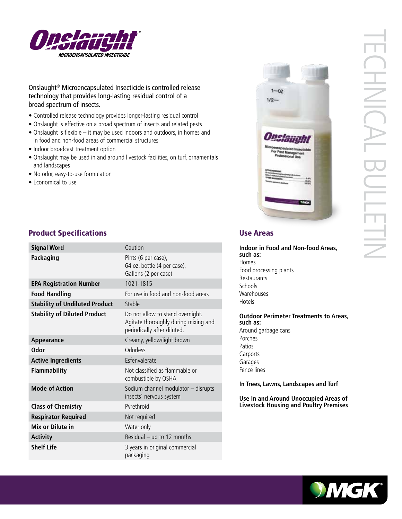

# Onslaught® Microencapsulated Insecticide is controlled release technology that provides long-lasting residual control of a broad spectrum of insects.

- Controlled release technology provides longer-lasting residual control
- Onslaught is effective on a broad spectrum of insects and related pests
- Onslaught is flexible it may be used indoors and outdoors, in homes and in food and non-food areas of commercial structures
- Indoor broadcast treatment option
- Onslaught may be used in and around livestock facilities, on turf, ornamentals and landscapes
- No odor, easy-to-use formulation
- Economical to use



| <b>Signal Word</b>                    | Caution                                                                                                 |
|---------------------------------------|---------------------------------------------------------------------------------------------------------|
| Packaging                             | Pints (6 per case),<br>64 oz. bottle (4 per case),<br>Gallons (2 per case)                              |
| <b>EPA Registration Number</b>        | 1021-1815                                                                                               |
| <b>Food Handling</b>                  | For use in food and non-food areas                                                                      |
| <b>Stability of Undiluted Product</b> | Stable                                                                                                  |
| <b>Stability of Diluted Product</b>   | Do not allow to stand overnight.<br>Agitate thoroughly during mixing and<br>periodically after diluted. |
| Appearance                            | Creamy, yellow/light brown                                                                              |
| <b>Odor</b>                           | Odorless                                                                                                |
| <b>Active Ingredients</b>             | Esfenvalerate                                                                                           |
| <b>Flammability</b>                   | Not classified as flammable or<br>combustible by OSHA                                                   |
| <b>Mode of Action</b>                 | Sodium channel modulator - disrupts<br>insects' nervous system                                          |
| <b>Class of Chemistry</b>             | Pyrethroid                                                                                              |
| <b>Respirator Required</b>            | Not required                                                                                            |
| Mix or Dilute in                      | Water only                                                                                              |
| <b>Activity</b>                       | Residual - up to 12 months                                                                              |
| <b>Shelf Life</b>                     | 3 years in original commercial<br>packaging                                                             |

# $1 - 07$  $1/2 -$

**Indoor in Food and Non-food Areas, such as:** Homes Food processing plants Restaurants **Schools** Warehouses Hotels

**Outdoor Perimeter Treatments to Areas, such as:** Around garbage cans Porches Patios Carports Garages Fence lines

**In Trees, Lawns, Landscapes and Turf** 

**Use In and Around Unoccupied Areas of Livestock Housing and Poultry Premises**